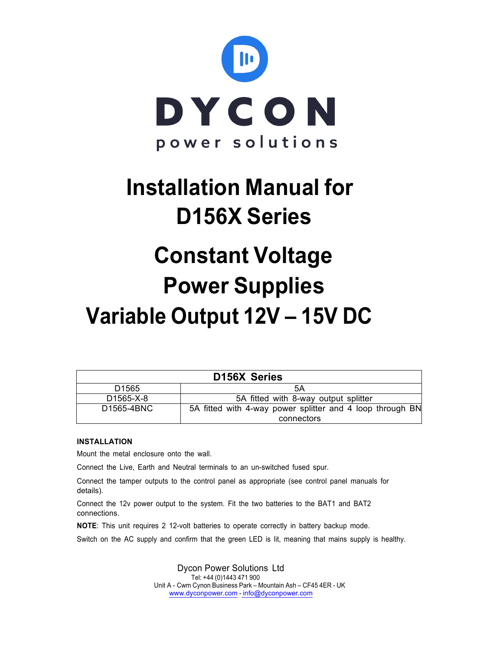

## **Installation Manual for D156X Series**

# **Constant Voltage Power Supplies Variable Output 12V – 15V DC**

| <b>D156X Series</b>     |                                                           |  |  |
|-------------------------|-----------------------------------------------------------|--|--|
| D <sub>1565</sub>       | 5Α                                                        |  |  |
| D <sub>1565</sub> -X-8  | 5A fitted with 8-way output splitter                      |  |  |
| D <sub>1565</sub> -4BNC | 5A fitted with 4-way power splitter and 4 loop through BN |  |  |
|                         | connectors                                                |  |  |

## **INSTALLATION**

Mount the metal enclosure onto the wall.

Connect the Live, Earth and Neutral terminals to an un-switched fused spur.

Connect the tamper outputs to the control panel as appropriate (see control panel manuals for details).

Connect the 12v power output to the system. Fit the two batteries to the BAT1 and BAT2 connections.

**NOTE**: This unit requires 2 12-volt batteries to operate correctly in battery backup mode.

Switch on the AC supply and confirm that the green LED is lit, meaning that mains supply is healthy.

Dycon Power Solutions Ltd Tel: +44 (0)1443 <sup>471</sup> <sup>900</sup> Unit A - Cwm Cynon Business Park – Mountain Ash – CF45 4ER - UK www.dyconpower.com - info@dyconpower.com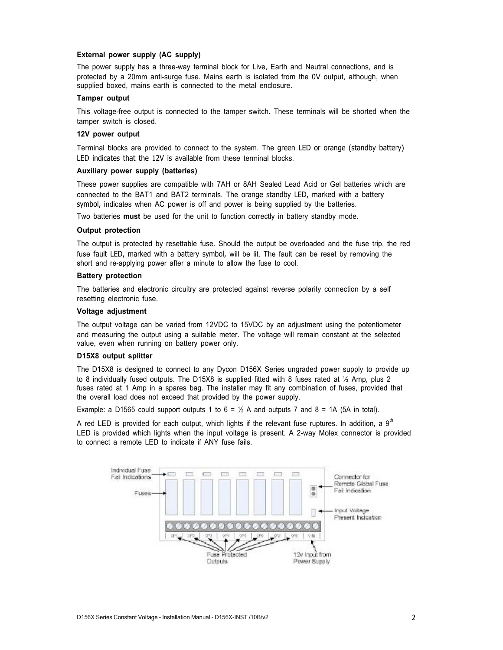## **External power supply (AC supply)**

The power supply has a three-way terminal block for Live, Earth and Neutral connections, and is protected by a 20mm anti-surge fuse. Mains earth is isolated from the 0V output, although, when supplied boxed, mains earth is connected to the metal enclosure.

#### **Tamper output**

This voltage-free output is connected to the tamper switch. These terminals will be shorted when the tamper switch is closed.

#### **12V power output**

Terminal blocks are provided to connect to the system. The green LED or orange (standby battery) LED indicates that the 12V is available from these terminal blocks.

#### **Auxiliary power supply (batteries)**

These power supplies are compatible with 7AH or 8AH Sealed Lead Acid or Gel batteries which are connected to the BAT1 and BAT2 terminals. The orange standby LED, marked with a battery symbol, indicates when AC power is off and power is being supplied by the batteries.

Two batteries **must** be used for the unit to function correctly in battery standby mode.

### **Output protection**

The output is protected by resettable fuse. Should the output be overloaded and the fuse trip, the red fuse fault LED, marked with a battery symbol, will be lit. The fault can be reset by removing the short and re-applying power after a minute to allow the fuse to cool.

## **Battery protection**

The batteries and electronic circuitry are protected against reverse polarity connection by a self resetting electronic fuse.

#### **Voltage adjustment**

The output voltage can be varied from 12VDC to 15VDC by an adjustment using the potentiometer and measuring the output using a suitable meter. The voltage will remain constant at the selected value, even when running on battery power only.

#### **D15X8 output splitter**

The D15X8 is designed to connect to any Dycon D156X Series ungraded power supply to provide up to 8 individually fused outputs. The D15X8 is supplied fitted with 8 fuses rated at ½ Amp, plus 2 fuses rated at 1 Amp in a spares bag. The installer may fit any combination of fuses, provided that the overall load does not exceed that provided by the power supply.

Example: a D1565 could support outputs 1 to  $6 = \frac{1}{2}$  A and outputs 7 and  $8 = 1$ A (5A in total).

A red LED is provided for each output, which lights if the relevant fuse ruptures. In addition, a  $9<sup>th</sup>$ LED is provided which lights when the input voltage is present. A 2-way Molex connector is provided to connect a remote LED to indicate if ANY fuse fails.

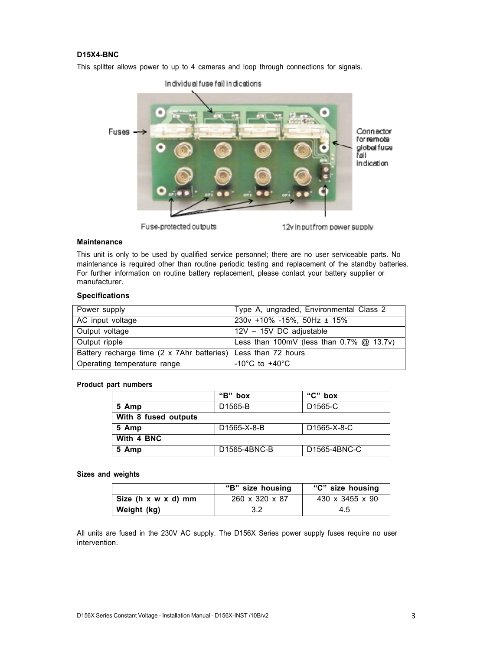## **D15X4-BNC**

This splitter allows power to up to 4 cameras and loop through connections for signals.



Fuse-protected outputs

12v inputfrom power supply

#### **Maintenance**

This unit is only to be used by qualified service personnel; there are no user serviceable parts. No maintenance is required other than routine periodic testing and replacement of the standby batteries. For further information on routine battery replacement, please contact your battery supplier or manufacturer.

### **Specifications**

| Power supply                                                  | Type A, ungraded, Environmental Class 2     |  |
|---------------------------------------------------------------|---------------------------------------------|--|
| AC input voltage                                              | $230v + 10\% - 15\%$ , 50Hz ± 15%           |  |
| Output voltage                                                | 12V - 15V DC adjustable                     |  |
| Output ripple                                                 | Less than 100mV (less than $0.7\%$ @ 13.7v) |  |
| Battery recharge time (2 x 7Ahr batteries) Less than 72 hours |                                             |  |
| Operating temperature range                                   | -10°C to +40 $\overline{C}$                 |  |

## **Product part numbers**

|                      | "B" box              | "C"<br>box           |  |  |
|----------------------|----------------------|----------------------|--|--|
| 5 Amp                | D <sub>1565</sub> -B | D <sub>1565</sub> -C |  |  |
| With 8 fused outputs |                      |                      |  |  |
| 5 Amp                | D1565-X-8-B          | D1565-X-8-C          |  |  |
| With 4 BNC           |                      |                      |  |  |
| 5 Amp                | D1565-4BNC-B         | D1565-4BNC-C         |  |  |

#### **Sizes and weights**

|                     | "B" size housing | "C" size housing |
|---------------------|------------------|------------------|
| Size (h x w x d) mm | 260 x 320 x 87   | 430 x 3455 x 90  |
| Weight (kg)         | 3.2              | 4.5              |

All units are fused in the 230V AC supply. The D156X Series power supply fuses require no user intervention.